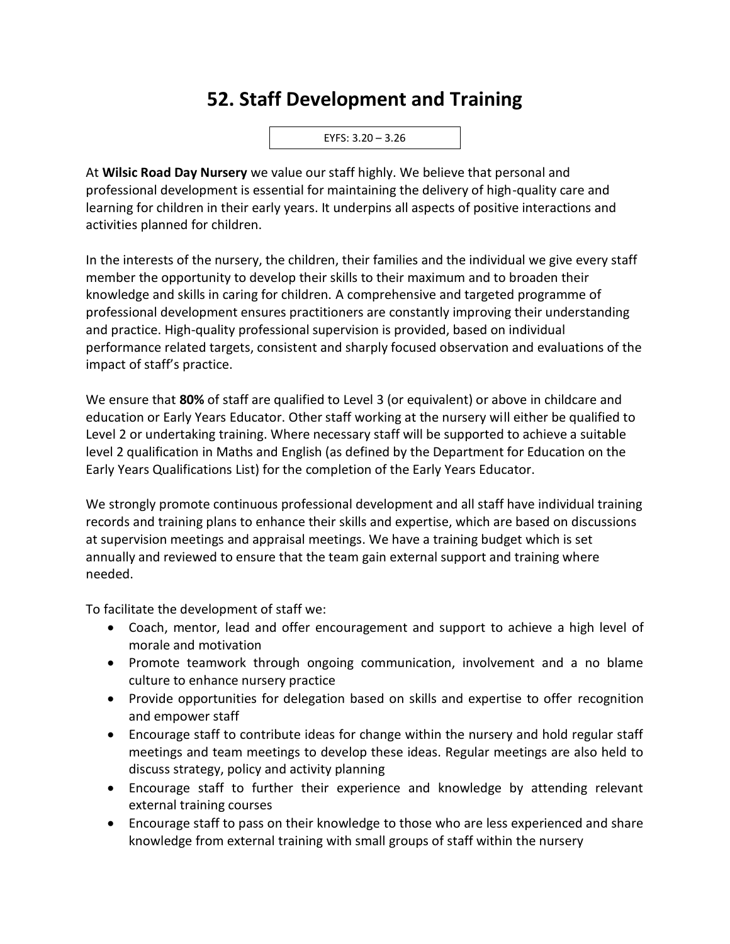## **52. Staff Development and Training**



At **Wilsic Road Day Nursery** we value our staff highly. We believe that personal and professional development is essential for maintaining the delivery of high-quality care and learning for children in their early years. It underpins all aspects of positive interactions and activities planned for children.

In the interests of the nursery, the children, their families and the individual we give every staff member the opportunity to develop their skills to their maximum and to broaden their knowledge and skills in caring for children. A comprehensive and targeted programme of professional development ensures practitioners are constantly improving their understanding and practice. High-quality professional supervision is provided, based on individual performance related targets, consistent and sharply focused observation and evaluations of the impact of staff's practice.

We ensure that **80%** of staff are qualified to Level 3 (or equivalent) or above in childcare and education or Early Years Educator. Other staff working at the nursery will either be qualified to Level 2 or undertaking training. Where necessary staff will be supported to achieve a suitable level 2 qualification in Maths and English (as defined by the Department for Education on the Early Years Qualifications List) for the completion of the Early Years Educator.

We strongly promote continuous professional development and all staff have individual training records and training plans to enhance their skills and expertise, which are based on discussions at supervision meetings and appraisal meetings. We have a training budget which is set annually and reviewed to ensure that the team gain external support and training where needed.

To facilitate the development of staff we:

- Coach, mentor, lead and offer encouragement and support to achieve a high level of morale and motivation
- Promote teamwork through ongoing communication, involvement and a no blame culture to enhance nursery practice
- Provide opportunities for delegation based on skills and expertise to offer recognition and empower staff
- Encourage staff to contribute ideas for change within the nursery and hold regular staff meetings and team meetings to develop these ideas. Regular meetings are also held to discuss strategy, policy and activity planning
- Encourage staff to further their experience and knowledge by attending relevant external training courses
- Encourage staff to pass on their knowledge to those who are less experienced and share knowledge from external training with small groups of staff within the nursery